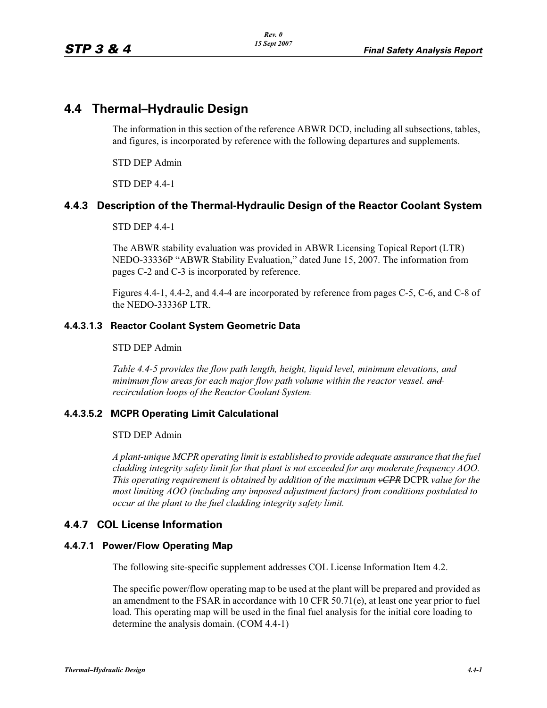# **4.4 Thermal–Hydraulic Design**

The information in this section of the reference ABWR DCD, including all subsections, tables, and figures, is incorporated by reference with the following departures and supplements.

STD DEP Admin

STD DEP 4.4-1

# **4.4.3 Description of the Thermal-Hydraulic Design of the Reactor Coolant System**

STD DEP 4.4-1

The ABWR stability evaluation was provided in ABWR Licensing Topical Report (LTR) NEDO-33336P "ABWR Stability Evaluation," dated June 15, 2007. The information from pages C-2 and C-3 is incorporated by reference.

Figures 4.4-1, 4.4-2, and 4.4-4 are incorporated by reference from pages C-5, C-6, and C-8 of the NEDO-33336P LTR.

### **4.4.3.1.3 Reactor Coolant System Geometric Data**

#### STD DEP Admin

*Table 4.4-5 provides the flow path length, height, liquid level, minimum elevations, and minimum flow areas for each major flow path volume within the reactor vessel. and recirculation loops of the Reactor Coolant System.*

### **4.4.3.5.2 MCPR Operating Limit Calculational**

#### STD DEP Admin

*A plant-unique MCPR operating limit is established to provide adequate assurance that the fuel cladding integrity safety limit for that plant is not exceeded for any moderate frequency AOO. This operating requirement is obtained by addition of the maximum vCPR* DCPR *value for the most limiting AOO (including any imposed adjustment factors) from conditions postulated to occur at the plant to the fuel cladding integrity safety limit.*

## **4.4.7 COL License Information**

### **4.4.7.1 Power/Flow Operating Map**

The following site-specific supplement addresses COL License Information Item 4.2.

The specific power/flow operating map to be used at the plant will be prepared and provided as an amendment to the FSAR in accordance with 10 CFR 50.71(e), at least one year prior to fuel load. This operating map will be used in the final fuel analysis for the initial core loading to determine the analysis domain. (COM 4.4-1)